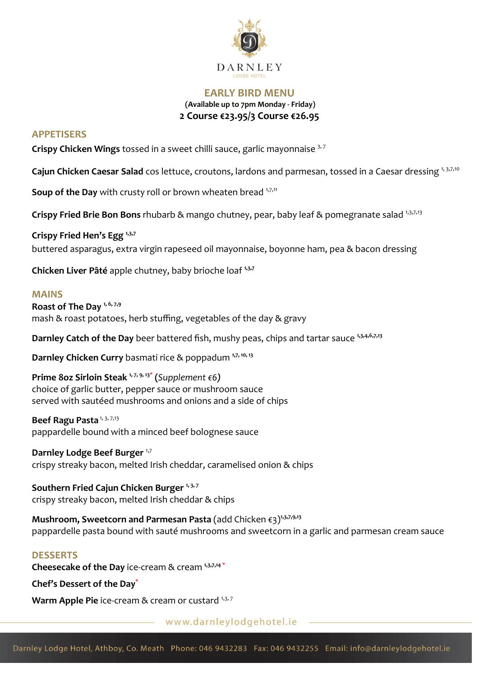

## **EARLY BIRD MENU (Available up to 7pm Monday - Friday) 2 Course €23.95/3 Course €26.95**

## **APPETISERS**

**Crispy Chicken Wings** tossed in a sweet chilli sauce, garlic mayonnaise 3, <sup>7</sup>

**Cajun Chicken Caesar Salad** cos lettuce, croutons, lardons and parmesan, tossed in a Caesar dressing 1, 3,7,10

Soup of the Day with crusty roll or brown wheaten bread 1,7,11

**Crispy Fried Brie Bon Bons** rhubarb & mango chutney, pear, baby leaf & pomegranate salad 1,3,7,13

**Crispy Fried Hen's Egg 1,3,7** buttered asparagus, extra virgin rapeseed oil mayonnaise, boyonne ham, pea & bacon dressing

**Chicken Liver Pâté** apple chutney, baby brioche loaf **1,3,7**

#### **MAINS**

**Roast of The Day 1, 6, 7,9** mash & roast potatoes, herb stuffing, vegetables of the day & gravy

**Darnley Catch of the Day** beer battered fish, mushy peas, chips and tartar sauce <sup>1,3,4,6,7,13</sup>

**Darnley Chicken Curry** basmati rice & poppadum **1,7, 10, <sup>13</sup>**

**Prime 8oz Sirloin Steak 1, 7, 9, 13\* (***Supplement €6)* choice of garlic butter, pepper sauce or mushroom sauce served with sautéed mushrooms and onions and a side of chips

#### Beef Ragu Pasta<sup>1, 3, 7,13</sup>

pappardelle bound with a minced beef bolognese sauce

**Darnley Lodge Beef Burger** <sup>1,7</sup> crispy streaky bacon, melted Irish cheddar, caramelised onion & chips

**Southern Fried Cajun Chicken Burger 1, 3, <sup>7</sup>** crispy streaky bacon, melted Irish cheddar & chips

**Mushroom, Sweetcorn and Parmesan Pasta** (add Chicken €3)**1,3,7,9,13** pappardelle pasta bound with sauté mushrooms and sweetcorn in a garlic and parmesan cream sauce

### **DESSERTS**

**Cheesecake of the Day** ice-cream & cream **1,3,7,14** \*

**Chef's Dessert of the Day\***

Warm Apple Pie ice-cream & cream or custard 1,3,7

www.darnleylodgehotel.ie